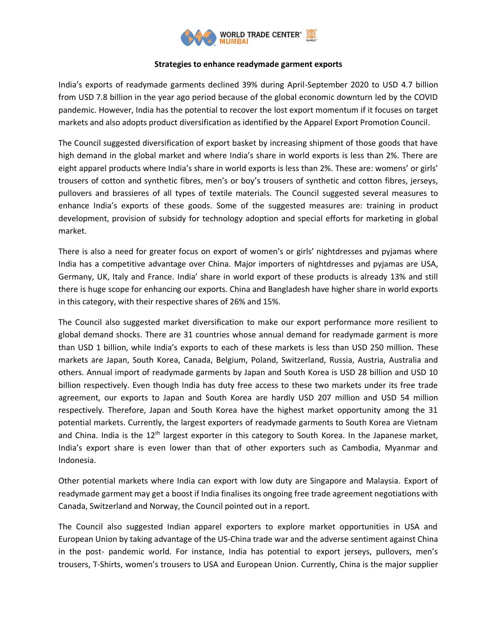

## **Strategies to enhance readymade garment exports**

India's exports of readymade garments declined 39% during April-September 2020 to USD 4.7 billion from USD 7.8 billion in the year ago period because of the global economic downturn led by the COVID pandemic. However, India has the potential to recover the lost export momentum if it focuses on target markets and also adopts product diversification as identified by the Apparel Export Promotion Council.

The Council suggested diversification of export basket by increasing shipment of those goods that have high demand in the global market and where India's share in world exports is less than 2%. There are eight apparel products where India's share in world exports is less than 2%. These are: womens' or girls' trousers of cotton and synthetic fibres, men's or boy's trousers of synthetic and cotton fibres, jerseys, pullovers and brassieres of all types of textile materials. The Council suggested several measures to enhance India's exports of these goods. Some of the suggested measures are: training in product development, provision of subsidy for technology adoption and special efforts for marketing in global market.

There is also a need for greater focus on export of women's or girls' nightdresses and pyjamas where India has a competitive advantage over China. Major importers of nightdresses and pyjamas are USA, Germany, UK, Italy and France. India' share in world export of these products is already 13% and still there is huge scope for enhancing our exports. China and Bangladesh have higher share in world exports in this category, with their respective shares of 26% and 15%.

The Council also suggested market diversification to make our export performance more resilient to global demand shocks. There are 31 countries whose annual demand for readymade garment is more than USD 1 billion, while India's exports to each of these markets is less than USD 250 million. These markets are Japan, South Korea, Canada, Belgium, Poland, Switzerland, Russia, Austria, Australia and others. Annual import of readymade garments by Japan and South Korea is USD 28 billion and USD 10 billion respectively. Even though India has duty free access to these two markets under its free trade agreement, our exports to Japan and South Korea are hardly USD 207 million and USD 54 million respectively. Therefore, Japan and South Korea have the highest market opportunity among the 31 potential markets. Currently, the largest exporters of readymade garments to South Korea are Vietnam and China. India is the 12<sup>th</sup> largest exporter in this category to South Korea. In the Japanese market, India's export share is even lower than that of other exporters such as Cambodia, Myanmar and Indonesia.

Other potential markets where India can export with low duty are Singapore and Malaysia. Export of readymade garment may get a boost if India finalises its ongoing free trade agreement negotiations with Canada, Switzerland and Norway, the Council pointed out in a report.

The Council also suggested Indian apparel exporters to explore market opportunities in USA and European Union by taking advantage of the US-China trade war and the adverse sentiment against China in the post- pandemic world. For instance, India has potential to export jerseys, pullovers, men's trousers, T-Shirts, women's trousers to USA and European Union. Currently, China is the major supplier